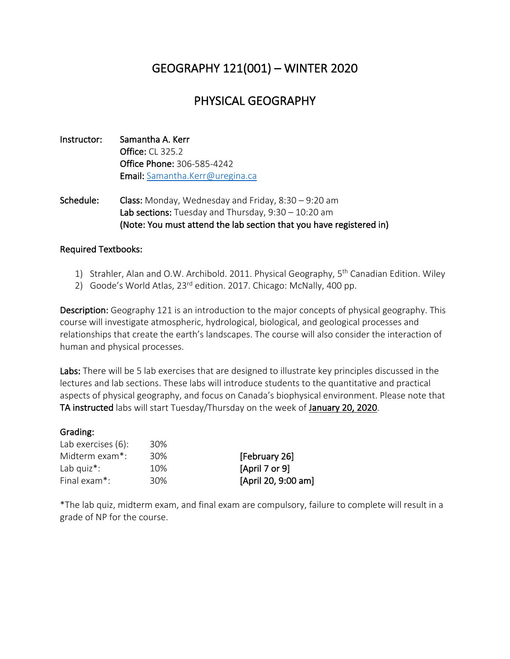# GEOGRAPHY 121(001) – WINTER 2020

## PHYSICAL GEOGRAPHY

- Instructor: Samantha A. Kerr Office: CL 325.2 Office Phone: 306-585-4242 Email: Samantha.Kerr@uregina.ca
- Schedule: Class: Monday, Wednesday and Friday, 8:30 9:20 am Lab sections: Tuesday and Thursday, 9:30 – 10:20 am (Note: You must attend the lab section that you have registered in)

#### Required Textbooks:

- 1) Strahler, Alan and O.W. Archibold. 2011. Physical Geography, 5<sup>th</sup> Canadian Edition. Wiley
- 2) Goode's World Atlas,  $23^{rd}$  edition. 2017. Chicago: McNally, 400 pp.

Description: Geography 121 is an introduction to the major concepts of physical geography. This course will investigate atmospheric, hydrological, biological, and geological processes and relationships that create the earth's landscapes. The course will also consider the interaction of human and physical processes.

Labs: There will be 5 lab exercises that are designed to illustrate key principles discussed in the lectures and lab sections. These labs will introduce students to the quantitative and practical aspects of physical geography, and focus on Canada's biophysical environment. Please note that TA instructed labs will start Tuesday/Thursday on the week of January 20, 2020.

#### Grading:

| Lab exercises (6):        | 30% |
|---------------------------|-----|
| Midterm exam*:            | 30% |
| Lab quiz*:                | 10% |
| Final exam <sup>*</sup> : | 30% |

[February 26] [April 7 or 9] [April 20, 9:00 am]

\*The lab quiz, midterm exam, and final exam are compulsory, failure to complete will result in a grade of NP for the course.